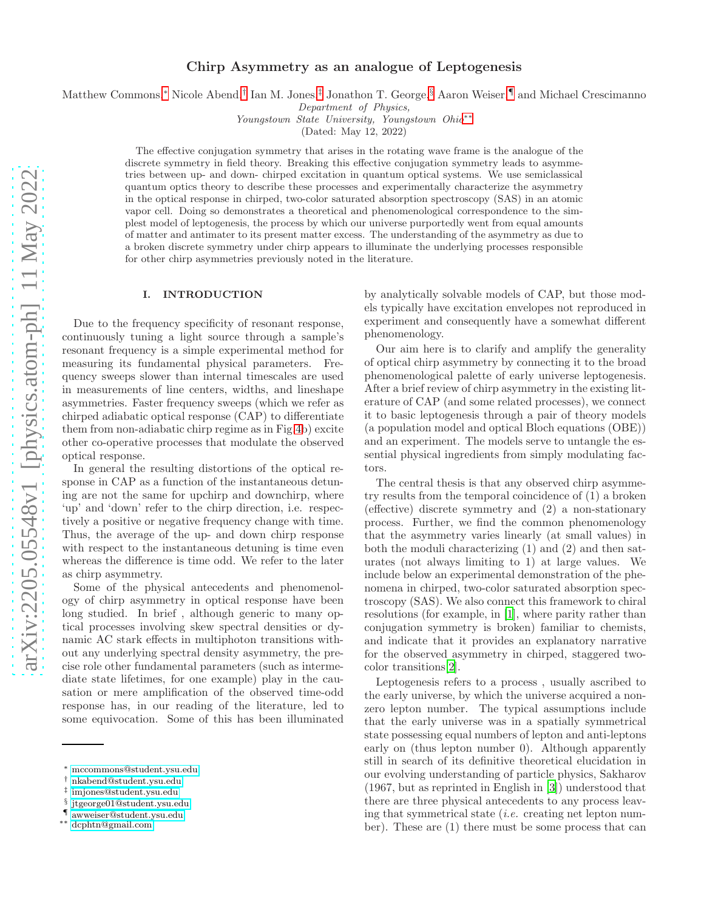# Chirp Asymmetry as an analogue of Leptogenesis

Matthew Commons,[∗](#page-0-0) Nicole Abend,[†](#page-0-1) Ian M. Jones,[‡](#page-0-2) Jonathon T. George,[§](#page-0-3) Aaron Weiser,[¶](#page-0-4) and Michael Crescimanno

Department of Physics,

Youngstown State University, Youngstown Ohio[∗∗](#page-0-5)

(Dated: May 12, 2022)

The effective conjugation symmetry that arises in the rotating wave frame is the analogue of the discrete symmetry in field theory. Breaking this effective conjugation symmetry leads to asymmetries between up- and down- chirped excitation in quantum optical systems. We use semiclassical quantum optics theory to describe these processes and experimentally characterize the asymmetry in the optical response in chirped, two-color saturated absorption spectroscopy (SAS) in an atomic vapor cell. Doing so demonstrates a theoretical and phenomenological correspondence to the simplest model of leptogenesis, the process by which our universe purportedly went from equal amounts of matter and antimater to its present matter excess. The understanding of the asymmetry as due to a broken discrete symmetry under chirp appears to illuminate the underlying processes responsible for other chirp asymmetries previously noted in the literature.

### I. INTRODUCTION

Due to the frequency specificity of resonant response, continuously tuning a light source through a sample's resonant frequency is a simple experimental method for measuring its fundamental physical parameters. Frequency sweeps slower than internal timescales are used in measurements of line centers, widths, and lineshape asymmetries. Faster frequency sweeps (which we refer as chirped adiabatic optical response (CAP) to differentiate them from non-adiabatic chirp regime as in Fig[.4b](#page-8-0)) excite other co-operative processes that modulate the observed optical response.

In general the resulting distortions of the optical response in CAP as a function of the instantaneous detuning are not the same for upchirp and downchirp, where 'up' and 'down' refer to the chirp direction, i.e. respectively a positive or negative frequency change with time. Thus, the average of the up- and down chirp response with respect to the instantaneous detuning is time even whereas the difference is time odd. We refer to the later as chirp asymmetry.

Some of the physical antecedents and phenomenology of chirp asymmetry in optical response have been long studied. In brief , although generic to many optical processes involving skew spectral densities or dynamic AC stark effects in multiphoton transitions without any underlying spectral density asymmetry, the precise role other fundamental parameters (such as intermediate state lifetimes, for one example) play in the causation or mere amplification of the observed time-odd response has, in our reading of the literature, led to some equivocation. Some of this has been illuminated

- <span id="page-0-3"></span>§ [jtgeorge01@student.ysu.edu](mailto:jtgeorge01@student.ysu.edu)
- <span id="page-0-4"></span>¶ [awweiser@student.ysu.edu](mailto:awweiser@student.ysu.edu)

by analytically solvable models of CAP, but those models typically have excitation envelopes not reproduced in experiment and consequently have a somewhat different phenomenology.

Our aim here is to clarify and amplify the generality of optical chirp asymmetry by connecting it to the broad phenomenological palette of early universe leptogenesis. After a brief review of chirp asymmetry in the existing literature of CAP (and some related processes), we connect it to basic leptogenesis through a pair of theory models (a population model and optical Bloch equations (OBE)) and an experiment. The models serve to untangle the essential physical ingredients from simply modulating factors.

The central thesis is that any observed chirp asymmetry results from the temporal coincidence of (1) a broken (effective) discrete symmetry and (2) a non-stationary process. Further, we find the common phenomenology that the asymmetry varies linearly (at small values) in both the moduli characterizing (1) and (2) and then saturates (not always limiting to 1) at large values. We include below an experimental demonstration of the phenomena in chirped, two-color saturated absorption spectroscopy (SAS). We also connect this framework to chiral resolutions (for example, in [\[1](#page-11-0)], where parity rather than conjugation symmetry is broken) familiar to chemists, and indicate that it provides an explanatory narrative for the observed asymmetry in chirped, staggered twocolor transitions[\[2](#page-11-1)].

Leptogenesis refers to a process , usually ascribed to the early universe, by which the universe acquired a nonzero lepton number. The typical assumptions include that the early universe was in a spatially symmetrical state possessing equal numbers of lepton and anti-leptons early on (thus lepton number 0). Although apparently still in search of its definitive theoretical elucidation in our evolving understanding of particle physics, Sakharov (1967, but as reprinted in English in [\[3\]](#page-11-2)) understood that there are three physical antecedents to any process leaving that symmetrical state  $(i.e.$  creating net lepton number). These are (1) there must be some process that can

<span id="page-0-0"></span><sup>∗</sup> [mccommons@student.ysu.edu](mailto:mccommons@student.ysu.edu)

<span id="page-0-1"></span><sup>†</sup> [nkabend@student.ysu.edu](mailto:nkabend@student.ysu.edu)

<span id="page-0-2"></span><sup>‡</sup> [imjones@student.ysu.edu](mailto:imjones@student.ysu.edu)

<span id="page-0-5"></span><sup>∗∗</sup> [dcphtn@gmail.com](mailto:dcphtn@gmail.com)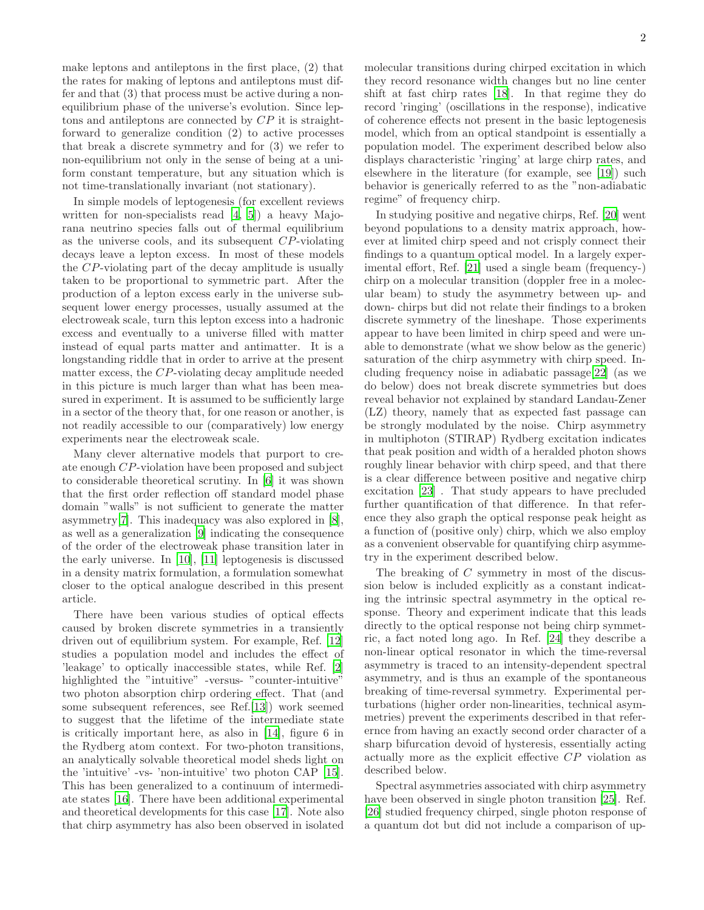make leptons and antileptons in the first place, (2) that the rates for making of leptons and antileptons must differ and that (3) that process must be active during a nonequilibrium phase of the universe's evolution. Since leptons and antileptons are connected by CP it is straightforward to generalize condition (2) to active processes that break a discrete symmetry and for (3) we refer to non-equilibrium not only in the sense of being at a uniform constant temperature, but any situation which is not time-translationally invariant (not stationary).

In simple models of leptogenesis (for excellent reviews written for non-specialists read [\[4,](#page-11-3) [5\]](#page-11-4)) a heavy Majorana neutrino species falls out of thermal equilibrium as the universe cools, and its subsequent CP-violating decays leave a lepton excess. In most of these models the CP-violating part of the decay amplitude is usually taken to be proportional to symmetric part. After the production of a lepton excess early in the universe subsequent lower energy processes, usually assumed at the electroweak scale, turn this lepton excess into a hadronic excess and eventually to a universe filled with matter instead of equal parts matter and antimatter. It is a longstanding riddle that in order to arrive at the present matter excess, the CP-violating decay amplitude needed in this picture is much larger than what has been measured in experiment. It is assumed to be sufficiently large in a sector of the theory that, for one reason or another, is not readily accessible to our (comparatively) low energy experiments near the electroweak scale.

Many clever alternative models that purport to create enough CP-violation have been proposed and subject to considerable theoretical scrutiny. In [\[6\]](#page-11-5) it was shown that the first order reflection off standard model phase domain "walls" is not sufficient to generate the matter asymmetry[\[7](#page-11-6)]. This inadequacy was also explored in [\[8\]](#page-11-7), as well as a generalization [\[9](#page-11-8)] indicating the consequence of the order of the electroweak phase transition later in the early universe. In [\[10](#page-11-9)], [\[11](#page-11-10)] leptogenesis is discussed in a density matrix formulation, a formulation somewhat closer to the optical analogue described in this present article.

There have been various studies of optical effects caused by broken discrete symmetries in a transiently driven out of equilibrium system. For example, Ref. [\[12](#page-11-11)] studies a population model and includes the effect of 'leakage' to optically inaccessible states, while Ref. [\[2](#page-11-1)] highlighted the "intuitive" -versus- "counter-intuitive" two photon absorption chirp ordering effect. That (and some subsequent references, see Ref.[\[13\]](#page-11-12)) work seemed to suggest that the lifetime of the intermediate state is critically important here, as also in [\[14](#page-11-13)], figure 6 in the Rydberg atom context. For two-photon transitions, an analytically solvable theoretical model sheds light on the 'intuitive' -vs- 'non-intuitive' two photon CAP [\[15\]](#page-11-14). This has been generalized to a continuum of intermediate states [\[16](#page-11-15)]. There have been additional experimental and theoretical developments for this case [\[17](#page-11-16)]. Note also that chirp asymmetry has also been observed in isolated molecular transitions during chirped excitation in which they record resonance width changes but no line center shift at fast chirp rates [\[18\]](#page-11-17). In that regime they do record 'ringing' (oscillations in the response), indicative of coherence effects not present in the basic leptogenesis model, which from an optical standpoint is essentially a population model. The experiment described below also displays characteristic 'ringing' at large chirp rates, and elsewhere in the literature (for example, see [\[19\]](#page-11-18)) such behavior is generically referred to as the "non-adiabatic regime" of frequency chirp.

In studying positive and negative chirps, Ref. [\[20](#page-11-19)] went beyond populations to a density matrix approach, however at limited chirp speed and not crisply connect their findings to a quantum optical model. In a largely experimental effort, Ref. [\[21](#page-12-0)] used a single beam (frequency-) chirp on a molecular transition (doppler free in a molecular beam) to study the asymmetry between up- and down- chirps but did not relate their findings to a broken discrete symmetry of the lineshape. Those experiments appear to have been limited in chirp speed and were unable to demonstrate (what we show below as the generic) saturation of the chirp asymmetry with chirp speed. Including frequency noise in adiabatic passage[\[22\]](#page-12-1) (as we do below) does not break discrete symmetries but does reveal behavior not explained by standard Landau-Zener (LZ) theory, namely that as expected fast passage can be strongly modulated by the noise. Chirp asymmetry in multiphoton (STIRAP) Rydberg excitation indicates that peak position and width of a heralded photon shows roughly linear behavior with chirp speed, and that there is a clear difference between positive and negative chirp excitation [\[23\]](#page-12-2) . That study appears to have precluded further quantification of that difference. In that reference they also graph the optical response peak height as a function of (positive only) chirp, which we also employ as a convenient observable for quantifying chirp asymmetry in the experiment described below.

The breaking of C symmetry in most of the discussion below is included explicitly as a constant indicating the intrinsic spectral asymmetry in the optical response. Theory and experiment indicate that this leads directly to the optical response not being chirp symmetric, a fact noted long ago. In Ref. [\[24\]](#page-12-3) they describe a non-linear optical resonator in which the time-reversal asymmetry is traced to an intensity-dependent spectral asymmetry, and is thus an example of the spontaneous breaking of time-reversal symmetry. Experimental perturbations (higher order non-linearities, technical asymmetries) prevent the experiments described in that referernce from having an exactly second order character of a sharp bifurcation devoid of hysteresis, essentially acting actually more as the explicit effective CP violation as described below.

Spectral asymmetries associated with chirp asymmetry have been observed in single photon transition [\[25\]](#page-12-4). Ref. [\[26\]](#page-12-5) studied frequency chirped, single photon response of a quantum dot but did not include a comparison of up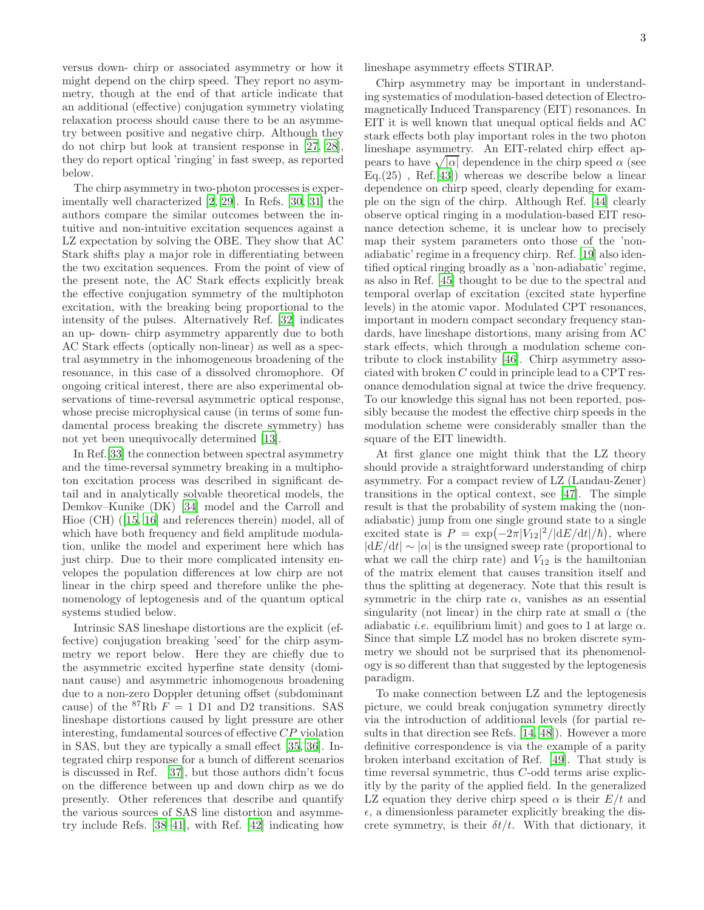versus down- chirp or associated asymmetry or how it might depend on the chirp speed. They report no asymmetry, though at the end of that article indicate that an additional (effective) conjugation symmetry violating relaxation process should cause there to be an asymmetry between positive and negative chirp. Although they do not chirp but look at transient response in [\[27,](#page-12-6) [28\]](#page-12-7), they do report optical 'ringing' in fast sweep, as reported below.

The chirp asymmetry in two-photon processes is experimentally well characterized [\[2,](#page-11-1) [29\]](#page-12-8). In Refs. [\[30,](#page-12-9) [31](#page-12-10)] the authors compare the similar outcomes between the intuitive and non-intuitive excitation sequences against a LZ expectation by solving the OBE. They show that AC Stark shifts play a major role in differentiating between the two excitation sequences. From the point of view of the present note, the AC Stark effects explicitly break the effective conjugation symmetry of the multiphoton excitation, with the breaking being proportional to the intensity of the pulses. Alternatively Ref. [\[32](#page-12-11)] indicates an up- down- chirp asymmetry apparently due to both AC Stark effects (optically non-linear) as well as a spectral asymmetry in the inhomogeneous broadening of the resonance, in this case of a dissolved chromophore. Of ongoing critical interest, there are also experimental observations of time-reversal asymmetric optical response, whose precise microphysical cause (in terms of some fundamental process breaking the discrete symmetry) has not yet been unequivocally determined [\[13\]](#page-11-12).

In Ref.[\[33\]](#page-12-12) the connection between spectral asymmetry and the time-reversal symmetry breaking in a multiphoton excitation process was described in significant detail and in analytically solvable theoretical models, the Demkov–Kunike (DK) [\[34\]](#page-12-13) model and the Carroll and Hioe (CH)([\[15,](#page-11-14) [16\]](#page-11-15) and references therein) model, all of which have both frequency and field amplitude modulation, unlike the model and experiment here which has just chirp. Due to their more complicated intensity envelopes the population differences at low chirp are not linear in the chirp speed and therefore unlike the phenomenology of leptogenesis and of the quantum optical systems studied below.

Intrinsic SAS lineshape distortions are the explicit (effective) conjugation breaking 'seed' for the chirp asymmetry we report below. Here they are chiefly due to the asymmetric excited hyperfine state density (dominant cause) and asymmetric inhomogenous broadening due to a non-zero Doppler detuning offset (subdominant cause) of the  ${}^{87}$ Rb  $F = 1$  D1 and D2 transitions. SAS lineshape distortions caused by light pressure are other interesting, fundamental sources of effective CP violation in SAS, but they are typically a small effect [\[35,](#page-12-14) [36\]](#page-12-15). Integrated chirp response for a bunch of different scenarios is discussed in Ref. [\[37\]](#page-12-16), but those authors didn't focus on the difference between up and down chirp as we do presently. Other references that describe and quantify the various sources of SAS line distortion and asymmetry include Refs. [\[38](#page-12-17)[–41\]](#page-12-18), with Ref. [\[42\]](#page-12-19) indicating how

lineshape asymmetry effects STIRAP.

Chirp asymmetry may be important in understanding systematics of modulation-based detection of Electromagnetically Induced Transparency (EIT) resonances. In EIT it is well known that unequal optical fields and AC stark effects both play important roles in the two photon lineshape asymmetry. An EIT-related chirp effect appears to have  $\sqrt{|\alpha|}$  dependence in the chirp speed  $\alpha$  (see  $Eq.(25)$ , Ref.[\[43](#page-12-20)]) whereas we describe below a linear dependence on chirp speed, clearly depending for example on the sign of the chirp. Although Ref. [\[44\]](#page-12-21) clearly observe optical ringing in a modulation-based EIT resonance detection scheme, it is unclear how to precisely map their system parameters onto those of the 'nonadiabatic' regime in a frequency chirp. Ref. [\[19\]](#page-11-18) also identified optical ringing broadly as a 'non-adiabatic' regime, as also in Ref. [\[45](#page-12-22)] thought to be due to the spectral and temporal overlap of excitation (excited state hyperfine levels) in the atomic vapor. Modulated CPT resonances, important in modern compact secondary frequency standards, have lineshape distortions, many arising from AC stark effects, which through a modulation scheme contribute to clock instability [\[46](#page-12-23)]. Chirp asymmetry associated with broken C could in principle lead to a CPT resonance demodulation signal at twice the drive frequency. To our knowledge this signal has not been reported, possibly because the modest the effective chirp speeds in the modulation scheme were considerably smaller than the square of the EIT linewidth.

At first glance one might think that the LZ theory should provide a straightforward understanding of chirp asymmetry. For a compact review of LZ (Landau-Zener) transitions in the optical context, see [\[47\]](#page-12-24). The simple result is that the probability of system making the (nonadiabatic) jump from one single ground state to a single excited state is  $P = \exp(-2\pi |\tilde{V}_{12}|^2/|\mathrm{d}E/\mathrm{d}t|/\hbar)$ , where  $|dE/dt| \sim |\alpha|$  is the unsigned sweep rate (proportional to what we call the chirp rate) and  $V_{12}$  is the hamiltonian of the matrix element that causes transition itself and thus the splitting at degeneracy. Note that this result is symmetric in the chirp rate  $\alpha$ , vanishes as an essential singularity (not linear) in the chirp rate at small  $\alpha$  (the adiabatic *i.e.* equilibrium limit) and goes to 1 at large  $\alpha$ . Since that simple LZ model has no broken discrete symmetry we should not be surprised that its phenomenology is so different than that suggested by the leptogenesis paradigm.

To make connection between LZ and the leptogenesis picture, we could break conjugation symmetry directly via the introduction of additional levels (for partial results in that direction see Refs. [\[14,](#page-11-13) [48\]](#page-12-25)). However a more definitive correspondence is via the example of a parity broken interband excitation of Ref. [\[49\]](#page-12-26). That study is time reversal symmetric, thus C-odd terms arise explicitly by the parity of the applied field. In the generalized LZ equation they derive chirp speed  $\alpha$  is their  $E/t$  and  $\epsilon$ , a dimensionless parameter explicitly breaking the discrete symmetry, is their  $\delta t/t$ . With that dictionary, it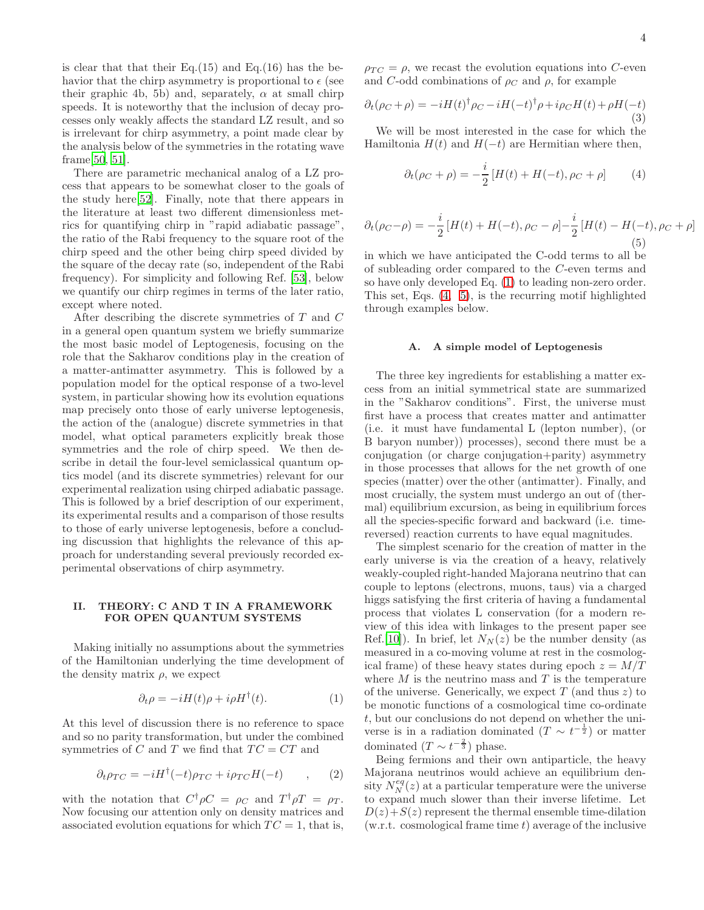is clear that that their  $Eq.(15)$  and  $Eq.(16)$  has the behavior that the chirp asymmetry is proportional to  $\epsilon$  (see their graphic 4b, 5b) and, separately,  $\alpha$  at small chirp speeds. It is noteworthy that the inclusion of decay processes only weakly affects the standard LZ result, and so is irrelevant for chirp asymmetry, a point made clear by the analysis below of the symmetries in the rotating wave frame[\[50,](#page-12-27) [51\]](#page-12-28).

There are parametric mechanical analog of a LZ process that appears to be somewhat closer to the goals of the study here[\[52\]](#page-12-29). Finally, note that there appears in the literature at least two different dimensionless metrics for quantifying chirp in "rapid adiabatic passage", the ratio of the Rabi frequency to the square root of the chirp speed and the other being chirp speed divided by the square of the decay rate (so, independent of the Rabi frequency). For simplicity and following Ref. [\[53](#page-12-30)], below we quantify our chirp regimes in terms of the later ratio, except where noted.

After describing the discrete symmetries of T and C in a general open quantum system we briefly summarize the most basic model of Leptogenesis, focusing on the role that the Sakharov conditions play in the creation of a matter-antimatter asymmetry. This is followed by a population model for the optical response of a two-level system, in particular showing how its evolution equations map precisely onto those of early universe leptogenesis, the action of the (analogue) discrete symmetries in that model, what optical parameters explicitly break those symmetries and the role of chirp speed. We then describe in detail the four-level semiclassical quantum optics model (and its discrete symmetries) relevant for our experimental realization using chirped adiabatic passage. This is followed by a brief description of our experiment, its experimental results and a comparison of those results to those of early universe leptogenesis, before a concluding discussion that highlights the relevance of this approach for understanding several previously recorded experimental observations of chirp asymmetry.

### II. THEORY: C AND T IN A FRAMEWORK FOR OPEN QUANTUM SYSTEMS

Making initially no assumptions about the symmetries of the Hamiltonian underlying the time development of the density matrix  $\rho$ , we expect

<span id="page-3-0"></span>
$$
\partial_t \rho = -iH(t)\rho + i\rho H^{\dagger}(t). \tag{1}
$$

At this level of discussion there is no reference to space and so no parity transformation, but under the combined symmetries of C and T we find that  $TC = CT$  and

$$
\partial_t \rho_{TC} = -iH^{\dagger}(-t)\rho_{TC} + i\rho_{TC}H(-t) \qquad , \qquad (2)
$$

with the notation that  $C^{\dagger} \rho C = \rho_C$  and  $T^{\dagger} \rho T = \rho_T$ . Now focusing our attention only on density matrices and associated evolution equations for which  $TC = 1$ , that is,  $\rho_{TC} = \rho$ , we recast the evolution equations into C-even and C-odd combinations of  $\rho_C$  and  $\rho$ , for example

$$
\partial_t(\rho_C + \rho) = -iH(t)^{\dagger} \rho_C - iH(-t)^{\dagger} \rho + i\rho_C H(t) + \rho H(-t)
$$
\n(3)

We will be most interested in the case for which the Hamiltonia  $H(t)$  and  $H(-t)$  are Hermitian where then,

<span id="page-3-1"></span>
$$
\partial_t(\rho_C + \rho) = -\frac{i}{2} \left[ H(t) + H(-t), \rho_C + \rho \right] \tag{4}
$$

<span id="page-3-2"></span>
$$
\partial_t(\rho_C - \rho) = -\frac{i}{2} \left[ H(t) + H(-t), \rho_C - \rho \right] - \frac{i}{2} \left[ H(t) - H(-t), \rho_C + \rho \right] \tag{5}
$$

in which we have anticipated the C-odd terms to all be of subleading order compared to the C-even terms and so have only developed Eq. [\(1\)](#page-3-0) to leading non-zero order. This set, Eqs. [\(4,](#page-3-1) [5\)](#page-3-2), is the recurring motif highlighted through examples below.

### A. A simple model of Leptogenesis

The three key ingredients for establishing a matter excess from an initial symmetrical state are summarized in the "Sakharov conditions". First, the universe must first have a process that creates matter and antimatter (i.e. it must have fundamental L (lepton number), (or B baryon number)) processes), second there must be a conjugation (or charge conjugation+parity) asymmetry in those processes that allows for the net growth of one species (matter) over the other (antimatter). Finally, and most crucially, the system must undergo an out of (thermal) equilibrium excursion, as being in equilibrium forces all the species-specific forward and backward (i.e. timereversed) reaction currents to have equal magnitudes.

The simplest scenario for the creation of matter in the early universe is via the creation of a heavy, relatively weakly-coupled right-handed Majorana neutrino that can couple to leptons (electrons, muons, taus) via a charged higgs satisfying the first criteria of having a fundamental process that violates L conservation (for a modern review of this idea with linkages to the present paper see Ref.[\[10](#page-11-9)]). In brief, let  $N_N(z)$  be the number density (as measured in a co-moving volume at rest in the cosmological frame) of these heavy states during epoch  $z = M/T$ where  $M$  is the neutrino mass and  $T$  is the temperature of the universe. Generically, we expect  $T$  (and thus  $z$ ) to be monotic functions of a cosmological time co-ordinate t, but our conclusions do not depend on whether the universe is in a radiation dominated  $(T \sim t^{-\frac{1}{2}})$  or matter dominated  $(T \sim t^{-\frac{2}{3}})$  phase.

Being fermions and their own antiparticle, the heavy Majorana neutrinos would achieve an equilibrium density  $N_N^{eq}(z)$  at a particular temperature were the universe to expand much slower than their inverse lifetime. Let  $D(z)+S(z)$  represent the thermal ensemble time-dilation  $(w.r.t. cosmological frame time t) average of the inclusive$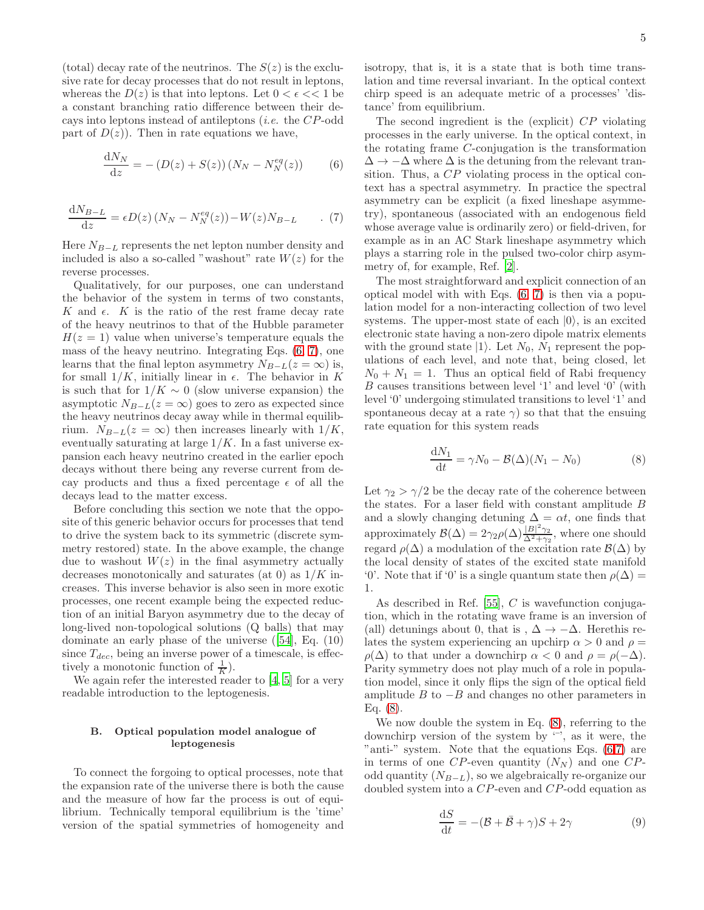(total) decay rate of the neutrinos. The  $S(z)$  is the exclusive rate for decay processes that do not result in leptons, whereas the  $D(z)$  is that into leptons. Let  $0 < \epsilon \ll 1$  be a constant branching ratio difference between their decays into leptons instead of antileptons (i.e. the CP-odd part of  $D(z)$ ). Then in rate equations we have,

$$
\frac{\mathrm{d}N_N}{\mathrm{d}z} = -\left(D(z) + S(z)\right)\left(N_N - N_N^{eq}(z)\right) \tag{6}
$$

<span id="page-4-1"></span>
$$
\frac{\mathrm{d}N_{B-L}}{\mathrm{d}z} = \epsilon D(z) \left( N_N - N_N^{eq}(z) \right) - W(z) N_{B-L} \qquad . \tag{7}
$$

Here  $N_{B-L}$  represents the net lepton number density and included is also a so-called "washout" rate  $W(z)$  for the reverse processes.

Qualitatively, for our purposes, one can understand the behavior of the system in terms of two constants, K and  $\epsilon$ . K is the ratio of the rest frame decay rate of the heavy neutrinos to that of the Hubble parameter  $H(z = 1)$  value when universe's temperature equals the mass of the heavy neutrino. Integrating Eqs. [\(6,](#page-4-0) [7\)](#page-4-1), one learns that the final lepton asymmetry  $N_{B-L}(z = \infty)$  is, for small  $1/K$ , initially linear in  $\epsilon$ . The behavior in K is such that for  $1/K \sim 0$  (slow universe expansion) the asymptotic  $N_{B-L}(z = \infty)$  goes to zero as expected since the heavy neutrinos decay away while in thermal equilibrium.  $N_{B-L}(z = \infty)$  then increases linearly with  $1/K$ , eventually saturating at large  $1/K$ . In a fast universe expansion each heavy neutrino created in the earlier epoch decays without there being any reverse current from decay products and thus a fixed percentage  $\epsilon$  of all the decays lead to the matter excess.

Before concluding this section we note that the opposite of this generic behavior occurs for processes that tend to drive the system back to its symmetric (discrete symmetry restored) state. In the above example, the change due to washout  $W(z)$  in the final asymmetry actually decreases monotonically and saturates (at 0) as  $1/K$  increases. This inverse behavior is also seen in more exotic processes, one recent example being the expected reduction of an initial Baryon asymmetry due to the decay of long-lived non-topological solutions (Q balls) that may dominate an early phase of the universe([\[54\]](#page-12-31), Eq. (10) since  $T_{dec}$ , being an inverse power of a timescale, is effectively a monotonic function of  $\frac{1}{K}$ ).

We again refer the interested reader to [\[4](#page-11-3), [5\]](#page-11-4) for a very readable introduction to the leptogenesis.

## B. Optical population model analogue of leptogenesis

To connect the forgoing to optical processes, note that the expansion rate of the universe there is both the cause and the measure of how far the process is out of equilibrium. Technically temporal equilibrium is the 'time' version of the spatial symmetries of homogeneity and isotropy, that is, it is a state that is both time translation and time reversal invariant. In the optical context chirp speed is an adequate metric of a processes' 'distance' from equilibrium.

<span id="page-4-0"></span>The second ingredient is the (explicit) CP violating processes in the early universe. In the optical context, in the rotating frame C-conjugation is the transformation  $\Delta \rightarrow -\Delta$  where  $\Delta$  is the detuning from the relevant transition. Thus, a CP violating process in the optical context has a spectral asymmetry. In practice the spectral asymmetry can be explicit (a fixed lineshape asymmetry), spontaneous (associated with an endogenous field whose average value is ordinarily zero) or field-driven, for example as in an AC Stark lineshape asymmetry which plays a starring role in the pulsed two-color chirp asymmetry of, for example, Ref. [\[2\]](#page-11-1).

The most straightforward and explicit connection of an optical model with with Eqs. [\(6,](#page-4-0) [7\)](#page-4-1) is then via a population model for a non-interacting collection of two level systems. The upper-most state of each  $|0\rangle$ , is an excited electronic state having a non-zero dipole matrix elements with the ground state  $|1\rangle$ . Let  $N_0$ ,  $N_1$  represent the populations of each level, and note that, being closed, let  $N_0 + N_1 = 1$ . Thus an optical field of Rabi frequency B causes transitions between level '1' and level '0' (with level '0' undergoing stimulated transitions to level '1' and spontaneous decay at a rate  $\gamma$ ) so that that the ensuing rate equation for this system reads

<span id="page-4-2"></span>
$$
\frac{\mathrm{d}N_1}{\mathrm{d}t} = \gamma N_0 - \mathcal{B}(\Delta)(N_1 - N_0) \tag{8}
$$

Let  $\gamma_2 > \gamma/2$  be the decay rate of the coherence between the states. For a laser field with constant amplitude  $B$ and a slowly changing detuning  $\Delta = \alpha t$ , one finds that approximately  $\mathcal{B}(\Delta) = 2\gamma_2 \rho(\Delta) \frac{|B|^2 \gamma_2}{\Delta^2 + \gamma_3}$  $\frac{|D|+|\gamma_2|}{\Delta^2+\gamma_2}$ , where one should regard  $\rho(\Delta)$  a modulation of the excitation rate  $\mathcal{B}(\Delta)$  by the local density of states of the excited state manifold '0'. Note that if '0' is a single quantum state then  $\rho(\Delta)$  = 1.

As described in Ref. [\[55](#page-12-32)], C is wavefunction conjugation, which in the rotating wave frame is an inversion of (all) detunings about 0, that is ,  $\Delta \rightarrow -\Delta$ . Herethis relates the system experiencing an upchirp  $\alpha > 0$  and  $\rho =$  $\rho(\Delta)$  to that under a downchirp  $\alpha < 0$  and  $\rho = \rho(-\Delta)$ . Parity symmetry does not play much of a role in population model, since it only flips the sign of the optical field amplitude  $B$  to  $-B$  and changes no other parameters in Eq. [\(8\)](#page-4-2).

We now double the system in Eq. [\(8\)](#page-4-2), referring to the downchirp version of the system by  $\leq$ , as it were, the "anti-" system. Note that the equations Eqs.  $(6,7)$  $(6,7)$  are in terms of one CP-even quantity  $(N_N)$  and one CPodd quantity  $(N_{B-L})$ , so we algebraically re-organize our doubled system into a CP-even and CP-odd equation as

<span id="page-4-3"></span>
$$
\frac{\mathrm{d}S}{\mathrm{d}t} = -(\mathcal{B} + \bar{\mathcal{B}} + \gamma)S + 2\gamma\tag{9}
$$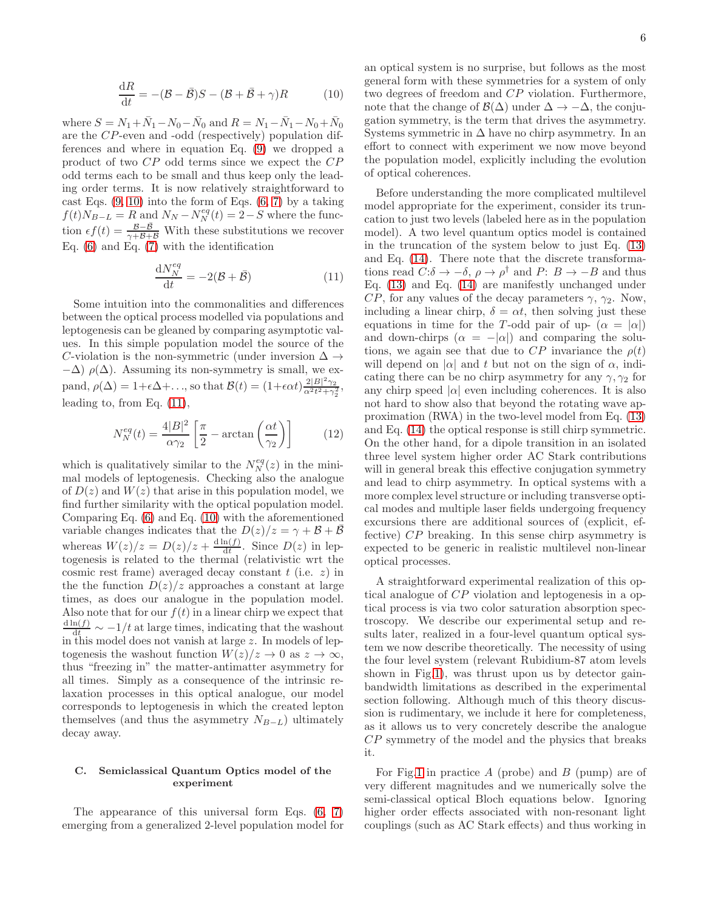$$
\frac{\mathrm{d}R}{\mathrm{d}t} = -(\mathcal{B} - \bar{\mathcal{B}})S - (\mathcal{B} + \bar{\mathcal{B}} + \gamma)R \tag{10}
$$

<span id="page-5-0"></span>where  $S = N_1 + \bar{N}_1 - N_0 - \bar{N}_0$  and  $R = N_1 - \bar{N}_1 - N_0 + \bar{N}_0$ are the CP-even and -odd (respectively) population differences and where in equation Eq. [\(9\)](#page-4-3) we dropped a product of two CP odd terms since we expect the CP odd terms each to be small and thus keep only the leading order terms. It is now relatively straightforward to cast Eqs.  $(9, 10)$  $(9, 10)$  into the form of Eqs.  $(6, 7)$  $(6, 7)$  by a taking  $f(t)N_{B-L} = R$  and  $N_N - N_N^{eq}(t) = 2-S$  where the function  $\epsilon f(t) = \frac{\mathcal{B}-\bar{\mathcal{B}}}{\gamma+\mathcal{B}+\bar{\mathcal{B}}}$  With these substitutions we recover Eq.  $(6)$  and Eq.  $(7)$  with the identification

$$
\frac{\mathrm{d}N_N^{eq}}{\mathrm{d}t} = -2(\mathcal{B} + \bar{\mathcal{B}}) \tag{11}
$$

Some intuition into the commonalities and differences between the optical process modelled via populations and leptogenesis can be gleaned by comparing asymptotic values. In this simple population model the source of the C-violation is the non-symmetric (under inversion  $\Delta \rightarrow$  $-\Delta$ )  $\rho(\Delta)$ . Assuming its non-symmetry is small, we expand,  $\rho(\Delta) = 1 + \epsilon \Delta + ...$ , so that  $\mathcal{B}(t) = (1 + \epsilon \alpha t) \frac{2|B|^2 \gamma_2}{\alpha^2 t^2 + \gamma^2}$ pand,  $p(\Delta) = 1 + \epsilon \Delta + \ldots$ , so that  $\mathcal{D}(t) = (1 + \epsilon \alpha t) \frac{\alpha^2 t^2 + \gamma_2^2}{\alpha^2 t^2 + \gamma_2^2}$ <br>leading to, from Eq. [\(11\)](#page-5-1), ,

$$
N_N^{eq}(t) = \frac{4|B|^2}{\alpha \gamma_2} \left[ \frac{\pi}{2} - \arctan\left(\frac{\alpha t}{\gamma_2}\right) \right]
$$
 (12)

which is qualitatively similar to the  $N_N^{eq}(z)$  in the minimal models of leptogenesis. Checking also the analogue of  $D(z)$  and  $W(z)$  that arise in this population model, we find further similarity with the optical population model. Comparing Eq. [\(6\)](#page-4-0) and Eq. [\(10\)](#page-5-0) with the aforementioned variable changes indicates that the  $D(z)/z = \gamma + \mathcal{B} + \bar{\mathcal{B}}$ whereas  $W(z)/z = D(z)/z + \frac{d \ln(f)}{dt}$  $\frac{\ln(J)}{\mathrm{d}t}$ . Since  $D(z)$  in leptogenesis is related to the thermal (relativistic wrt the cosmic rest frame) averaged decay constant  $t$  (i.e.  $z$ ) in the the function  $D(z)/z$  approaches a constant at large times, as does our analogue in the population model. Also note that for our  $f(t)$  in a linear chirp we expect that  $\frac{d \ln(f)}{dt} \sim -1/t$  at large times, indicating that the washout in this model does not vanish at large z. In models of leptogenesis the washout function  $W(z)/z \to 0$  as  $z \to \infty$ , thus "freezing in" the matter-antimatter asymmetry for all times. Simply as a consequence of the intrinsic relaxation processes in this optical analogue, our model corresponds to leptogenesis in which the created lepton themselves (and thus the asymmetry  $N_{B-L}$ ) ultimately decay away.

## C. Semiclassical Quantum Optics model of the experiment

The appearance of this universal form Eqs. [\(6,](#page-4-0) [7\)](#page-4-1) emerging from a generalized 2-level population model for an optical system is no surprise, but follows as the most general form with these symmetries for a system of only two degrees of freedom and CP violation. Furthermore, note that the change of  $\mathcal{B}(\Delta)$  under  $\Delta \to -\Delta$ , the conjugation symmetry, is the term that drives the asymmetry. Systems symmetric in  $\Delta$  have no chirp asymmetry. In an effort to connect with experiment we now move beyond the population model, explicitly including the evolution of optical coherences.

<span id="page-5-1"></span>Before understanding the more complicated multilevel model appropriate for the experiment, consider its truncation to just two levels (labeled here as in the population model). A two level quantum optics model is contained in the truncation of the system below to just Eq. [\(13\)](#page-6-0) and Eq. [\(14\)](#page-6-1). There note that the discrete transformations read  $C:\delta \to -\delta$ ,  $\rho \to \rho^{\dagger}$  and  $P: B \to -B$  and thus Eq. [\(13\)](#page-6-0) and Eq. [\(14\)](#page-6-1) are manifestly unchanged under  $CP$ , for any values of the decay parameters  $\gamma$ ,  $\gamma_2$ . Now, including a linear chirp,  $\delta = \alpha t$ , then solving just these equations in time for the T-odd pair of up-  $(\alpha = |\alpha|)$ and down-chirps ( $\alpha = -|\alpha|$ ) and comparing the solutions, we again see that due to  $CP$  invariance the  $\rho(t)$ will depend on  $|\alpha|$  and t but not on the sign of  $\alpha$ , indicating there can be no chirp asymmetry for any  $\gamma$ ,  $\gamma_2$  for any chirp speed  $|\alpha|$  even including coherences. It is also not hard to show also that beyond the rotating wave approximation (RWA) in the two-level model from Eq. [\(13\)](#page-6-0) and Eq. [\(14\)](#page-6-1) the optical response is still chirp symmetric. On the other hand, for a dipole transition in an isolated three level system higher order AC Stark contributions will in general break this effective conjugation symmetry and lead to chirp asymmetry. In optical systems with a more complex level structure or including transverse optical modes and multiple laser fields undergoing frequency excursions there are additional sources of (explicit, effective) CP breaking. In this sense chirp asymmetry is expected to be generic in realistic multilevel non-linear optical processes.

A straightforward experimental realization of this optical analogue of CP violation and leptogenesis in a optical process is via two color saturation absorption spectroscopy. We describe our experimental setup and results later, realized in a four-level quantum optical system we now describe theoretically. The necessity of using the four level system (relevant Rubidium-87 atom levels shown in Fig[.1\)](#page-6-2), was thrust upon us by detector gainbandwidth limitations as described in the experimental section following. Although much of this theory discussion is rudimentary, we include it here for completeness, as it allows us to very concretely describe the analogue CP symmetry of the model and the physics that breaks it.

For Fig[.1](#page-6-2) in practice  $A$  (probe) and  $B$  (pump) are of very different magnitudes and we numerically solve the semi-classical optical Bloch equations below. Ignoring higher order effects associated with non-resonant light couplings (such as AC Stark effects) and thus working in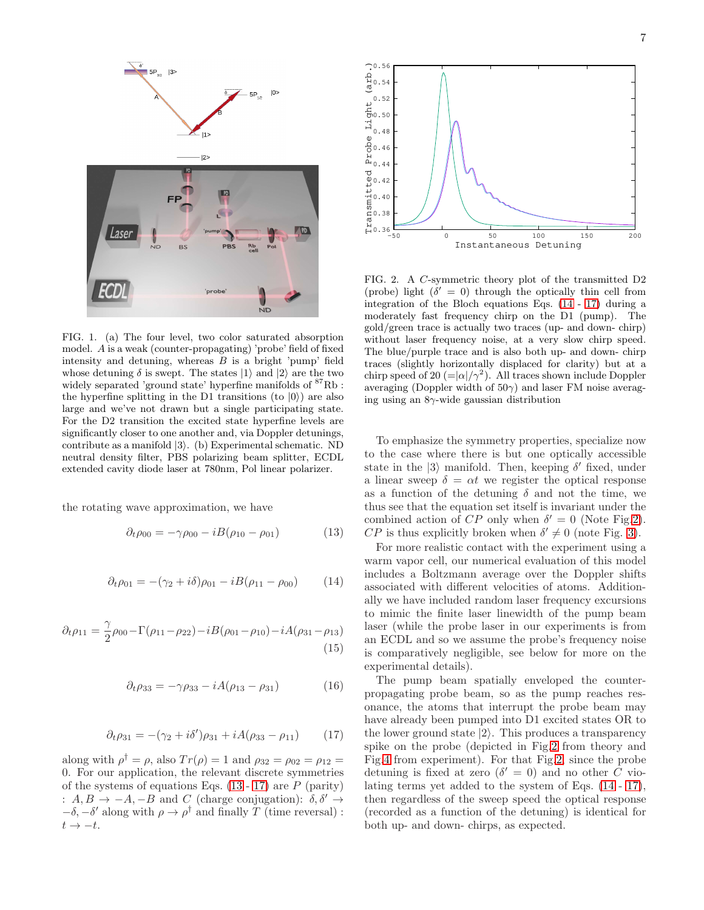

<span id="page-6-2"></span>FIG. 1. (a) The four level, two color saturated absorption model. A is a weak (counter-propagating) 'probe' field of fixed intensity and detuning, whereas  $B$  is a bright 'pump' field whose detuning  $\delta$  is swept. The states  $|1\rangle$  and  $|2\rangle$  are the two widely separated 'ground state' hyperfine manifolds of  ${}^{87}Rb$ : the hyperfine splitting in the D1 transitions (to  $|0\rangle$ ) are also large and we've not drawn but a single participating state. For the D2 transition the excited state hyperfine levels are significantly closer to one another and, via Doppler detunings, contribute as a manifold  $|3\rangle$ . (b) Experimental schematic. ND neutral density filter, PBS polarizing beam splitter, ECDL extended cavity diode laser at 780nm, Pol linear polarizer.

<span id="page-6-1"></span>the rotating wave approximation, we have

$$
\partial_t \rho_{00} = -\gamma \rho_{00} - iB(\rho_{10} - \rho_{01}) \tag{13}
$$

$$
\partial_t \rho_{01} = -(\gamma_2 + i\delta)\rho_{01} - iB(\rho_{11} - \rho_{00}) \tag{14}
$$

$$
\partial_t \rho_{11} = \frac{\gamma}{2} \rho_{00} - \Gamma(\rho_{11} - \rho_{22}) - iB(\rho_{01} - \rho_{10}) - iA(\rho_{31} - \rho_{13})
$$
\n(15)

$$
\partial_t \rho_{33} = -\gamma \rho_{33} - iA(\rho_{13} - \rho_{31}) \tag{16}
$$

$$
\partial_t \rho_{31} = -(\gamma_2 + i\delta')\rho_{31} + iA(\rho_{33} - \rho_{11}) \tag{17}
$$

<span id="page-6-3"></span>along with  $\rho^{\dagger} = \rho$ , also  $Tr(\rho) = 1$  and  $\rho_{32} = \rho_{02} = \rho_{12} =$ 0. For our application, the relevant discrete symmetries of the systems of equations Eqs.  $(13 - 17)$  $(13 - 17)$  are P (parity) :  $A, B \rightarrow -A, -B$  and C (charge conjugation):  $\delta, \delta' \rightarrow$  $-\delta$ ,  $-\delta'$  along with  $\rho \to \rho^{\dagger}$  and finally T (time reversal) :  $t \rightarrow -t$ .



<span id="page-6-4"></span>FIG. 2. A C-symmetric theory plot of the transmitted D2 (probe) light  $(\delta' = 0)$  through the optically thin cell from integration of the Bloch equations Eqs. [\(14](#page-6-1) - [17\)](#page-6-3) during a moderately fast frequency chirp on the D1 (pump). The gold/green trace is actually two traces (up- and down- chirp) without laser frequency noise, at a very slow chirp speed. The blue/purple trace and is also both up- and down- chirp traces (slightly horizontally displaced for clarity) but at a chirp speed of 20 (= $|\alpha|/\gamma^2$ ). All traces shown include Doppler averaging (Doppler width of  $50\gamma$ ) and laser FM noise averaging using an  $8\gamma$ -wide gaussian distribution

To emphasize the symmetry properties, specialize now to the case where there is but one optically accessible state in the  $|3\rangle$  manifold. Then, keeping  $\delta'$  fixed, under a linear sweep  $\delta = \alpha t$  we register the optical response as a function of the detuning  $\delta$  and not the time, we thus see that the equation set itself is invariant under the combined action of  $CP$  only when  $\delta' = 0$  (Note Fig[.2\)](#page-6-4).  $CP$  is thus explicitly broken when  $\delta' \neq 0$  (note Fig. [3\)](#page-7-0).

<span id="page-6-0"></span>For more realistic contact with the experiment using a warm vapor cell, our numerical evaluation of this model includes a Boltzmann average over the Doppler shifts associated with different velocities of atoms. Additionally we have included random laser frequency excursions to mimic the finite laser linewidth of the pump beam laser (while the probe laser in our experiments is from an ECDL and so we assume the probe's frequency noise is comparatively negligible, see below for more on the experimental details).

The pump beam spatially enveloped the counterpropagating probe beam, so as the pump reaches resonance, the atoms that interrupt the probe beam may have already been pumped into D1 excited states OR to the lower ground state  $|2\rangle$ . This produces a transparency spike on the probe (depicted in Fig[.2](#page-6-4) from theory and Fig[.4](#page-8-0) from experiment). For that Fig[.2,](#page-6-4) since the probe detuning is fixed at zero  $(\delta' = 0)$  and no other C violating terms yet added to the system of Eqs. [\(14](#page-6-1) - [17\)](#page-6-3), then regardless of the sweep speed the optical response (recorded as a function of the detuning) is identical for both up- and down- chirps, as expected.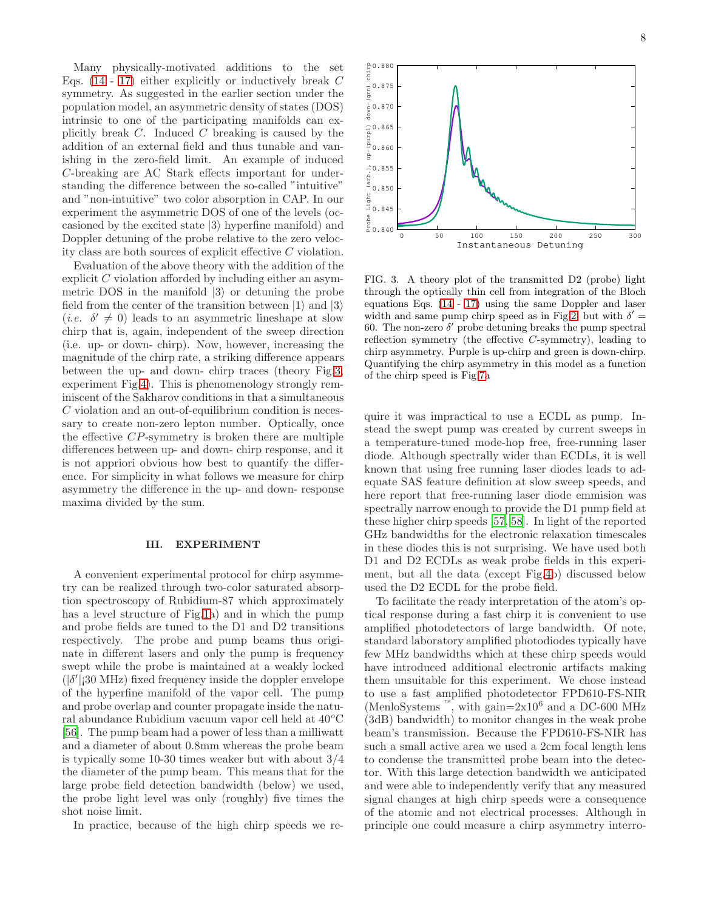Many physically-motivated additions to the set Eqs. [\(14](#page-6-1) - [17\)](#page-6-3) either explicitly or inductively break C symmetry. As suggested in the earlier section under the population model, an asymmetric density of states (DOS) intrinsic to one of the participating manifolds can explicitly break  $C$ . Induced  $C$  breaking is caused by the addition of an external field and thus tunable and vanishing in the zero-field limit. An example of induced C-breaking are AC Stark effects important for understanding the difference between the so-called "intuitive" and "non-intuitive" two color absorption in CAP. In our experiment the asymmetric DOS of one of the levels (occasioned by the excited state  $|3\rangle$  hyperfine manifold) and Doppler detuning of the probe relative to the zero velocity class are both sources of explicit effective C violation.

Evaluation of the above theory with the addition of the explicit C violation afforded by including either an asymmetric DOS in the manifold  $|3\rangle$  or detuning the probe field from the center of the transition between  $|1\rangle$  and  $|3\rangle$ (*i.e.*  $\delta' \neq 0$ ) leads to an asymmetric lineshape at slow chirp that is, again, independent of the sweep direction (i.e. up- or down- chirp). Now, however, increasing the magnitude of the chirp rate, a striking difference appears between the up- and down- chirp traces (theory Fig[.3,](#page-7-0) experiment Fig[.4\)](#page-8-0). This is phenomenology strongly reminiscent of the Sakharov conditions in that a simultaneous C violation and an out-of-equilibrium condition is necessary to create non-zero lepton number. Optically, once the effective CP-symmetry is broken there are multiple differences between up- and down- chirp response, and it is not appriori obvious how best to quantify the difference. For simplicity in what follows we measure for chirp asymmetry the difference in the up- and down- response maxima divided by the sum.

#### III. EXPERIMENT

A convenient experimental protocol for chirp asymmetry can be realized through two-color saturated absorption spectroscopy of Rubidium-87 which approximately has a level structure of Fig[.1a](#page-6-2)) and in which the pump and probe fields are tuned to the D1 and D2 transitions respectively. The probe and pump beams thus originate in different lasers and only the pump is frequency swept while the probe is maintained at a weakly locked  $(|\delta'|)$  30 MHz) fixed frequency inside the doppler envelope of the hyperfine manifold of the vapor cell. The pump and probe overlap and counter propagate inside the natural abundance Rubidium vacuum vapor cell held at  $40^{\circ}$ C [\[56\]](#page-12-33). The pump beam had a power of less than a milliwatt and a diameter of about 0.8mm whereas the probe beam is typically some 10-30 times weaker but with about 3/4 the diameter of the pump beam. This means that for the large probe field detection bandwidth (below) we used, the probe light level was only (roughly) five times the shot noise limit.

In practice, because of the high chirp speeds we re-

8



<span id="page-7-0"></span>FIG. 3. A theory plot of the transmitted D2 (probe) light through the optically thin cell from integration of the Bloch equations Eqs. [\(14](#page-6-1) - [17\)](#page-6-3) using the same Doppler and laser width and same pump chirp speed as in Fig[.2,](#page-6-4) but with  $\delta' =$ 60. The non-zero  $\delta'$  probe detuning breaks the pump spectral reflection symmetry (the effective C-symmetry), leading to chirp asymmetry. Purple is up-chirp and green is down-chirp. Quantifying the chirp asymmetry in this model as a function of the chirp speed is Fig[.7a](#page-10-0)

quire it was impractical to use a ECDL as pump. Instead the swept pump was created by current sweeps in a temperature-tuned mode-hop free, free-running laser diode. Although spectrally wider than ECDLs, it is well known that using free running laser diodes leads to adequate SAS feature definition at slow sweep speeds, and here report that free-running laser diode emmision was spectrally narrow enough to provide the D1 pump field at these higher chirp speeds [\[57](#page-12-34), [58\]](#page-12-35). In light of the reported GHz bandwidths for the electronic relaxation timescales in these diodes this is not surprising. We have used both D1 and D2 ECDLs as weak probe fields in this experiment, but all the data (except Fig[.4b](#page-8-0)) discussed below used the D2 ECDL for the probe field.

To facilitate the ready interpretation of the atom's optical response during a fast chirp it is convenient to use amplified photodetectors of large bandwidth. Of note, standard laboratory amplified photodiodes typically have few MHz bandwidths which at these chirp speeds would have introduced additional electronic artifacts making them unsuitable for this experiment. We chose instead to use a fast amplified photodetector FPD610-FS-NIR (MenloSystems <sup>™</sup>, with gain=2x10<sup>6</sup> and a DC-600 MHz (3dB) bandwidth) to monitor changes in the weak probe beam's transmission. Because the FPD610-FS-NIR has such a small active area we used a 2cm focal length lens to condense the transmitted probe beam into the detector. With this large detection bandwidth we anticipated and were able to independently verify that any measured signal changes at high chirp speeds were a consequence of the atomic and not electrical processes. Although in principle one could measure a chirp asymmetry interro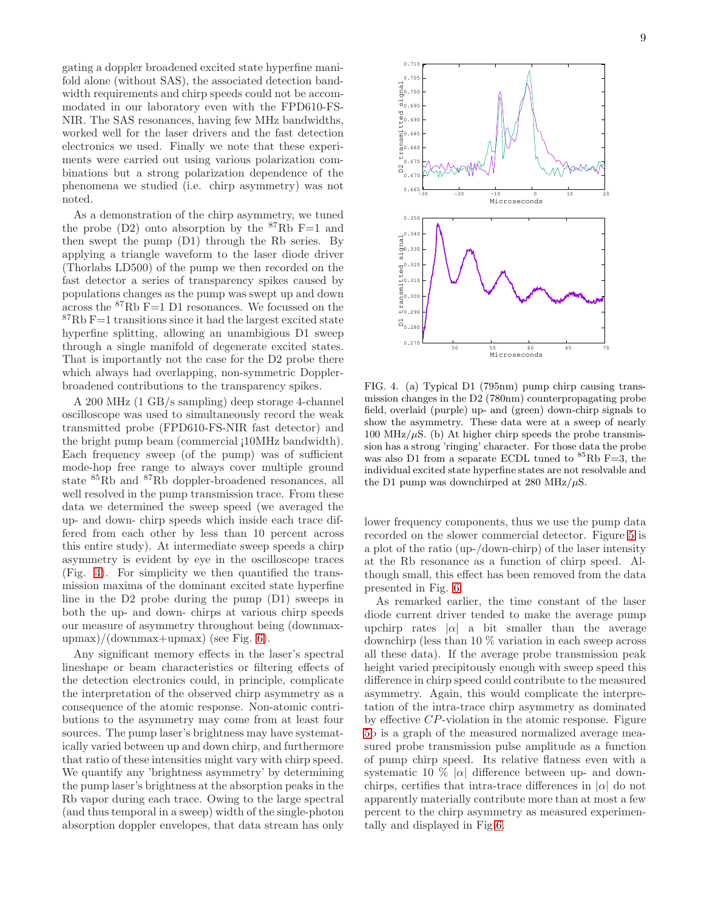gating a doppler broadened excited state hyperfine manifold alone (without SAS), the associated detection bandwidth requirements and chirp speeds could not be accommodated in our laboratory even with the FPD610-FS-NIR. The SAS resonances, having few MHz bandwidths, worked well for the laser drivers and the fast detection electronics we used. Finally we note that these experiments were carried out using various polarization combinations but a strong polarization dependence of the phenomena we studied (i.e. chirp asymmetry) was not noted.

As a demonstration of the chirp asymmetry, we tuned the probe  $(D2)$  onto absorption by the <sup>87</sup>Rb F=1 and then swept the pump (D1) through the Rb series. By applying a triangle waveform to the laser diode driver (Thorlabs LD500) of the pump we then recorded on the fast detector a series of transparency spikes caused by populations changes as the pump was swept up and down across the  ${}^{87}$ Rb F=1 D1 resonances. We focussed on the  ${}^{87}$ Rb F=1 transitions since it had the largest excited state hyperfine splitting, allowing an unambigious D1 sweep through a single manifold of degenerate excited states. That is importantly not the case for the D2 probe there which always had overlapping, non-symmetric Dopplerbroadened contributions to the transparency spikes.

A 200 MHz (1 GB/s sampling) deep storage 4-channel oscilloscope was used to simultaneously record the weak transmitted probe (FPD610-FS-NIR fast detector) and the bright pump beam (commercial ¡10MHz bandwidth). Each frequency sweep (of the pump) was of sufficient mode-hop free range to always cover multiple ground state <sup>85</sup>Rb and <sup>87</sup>Rb doppler-broadened resonances, all well resolved in the pump transmission trace. From these data we determined the sweep speed (we averaged the up- and down- chirp speeds which inside each trace differed from each other by less than 10 percent across this entire study). At intermediate sweep speeds a chirp asymmetry is evident by eye in the oscilloscope traces (Fig. [4\)](#page-8-0). For simplicity we then quantified the transmission maxima of the dominant excited state hyperfine line in the D2 probe during the pump (D1) sweeps in both the up- and down- chirps at various chirp speeds our measure of asymmetry throughout being (downmax $upmax)/(downmax+upmax)$  (see Fig. [6\)](#page-9-0).

Any significant memory effects in the laser's spectral lineshape or beam characteristics or filtering effects of the detection electronics could, in principle, complicate the interpretation of the observed chirp asymmetry as a consequence of the atomic response. Non-atomic contributions to the asymmetry may come from at least four sources. The pump laser's brightness may have systematically varied between up and down chirp, and furthermore that ratio of these intensities might vary with chirp speed. We quantify any 'brightness asymmetry' by determining the pump laser's brightness at the absorption peaks in the Rb vapor during each trace. Owing to the large spectral (and thus temporal in a sweep) width of the single-photon absorption doppler envelopes, that data stream has only



<span id="page-8-0"></span>FIG. 4. (a) Typical D1 (795nm) pump chirp causing transmission changes in the D2 (780nm) counterpropagating probe field, overlaid (purple) up- and (green) down-chirp signals to show the asymmetry. These data were at a sweep of nearly 100 MHz/ $\mu$ S. (b) At higher chirp speeds the probe transmission has a strong 'ringing' character. For those data the probe was also D1 from a separate ECDL tuned to  ${}^{85}Rb$  F=3, the individual excited state hyperfine states are not resolvable and the D1 pump was downchirped at 280 MHz/ $\mu$ S.

lower frequency components, thus we use the pump data recorded on the slower commercial detector. Figure [5](#page-9-1) is a plot of the ratio (up-/down-chirp) of the laser intensity at the Rb resonance as a function of chirp speed. Although small, this effect has been removed from the data presented in Fig. [6.](#page-9-0)

As remarked earlier, the time constant of the laser diode current driver tended to make the average pump upchirp rates  $|\alpha|$  a bit smaller than the average downchirp (less than 10 % variation in each sweep across all these data). If the average probe transmission peak height varied precipitously enough with sweep speed this difference in chirp speed could contribute to the measured asymmetry. Again, this would complicate the interpretation of the intra-trace chirp asymmetry as dominated by effective CP-violation in the atomic response. Figure [5b](#page-9-1) is a graph of the measured normalized average measured probe transmission pulse amplitude as a function of pump chirp speed. Its relative flatness even with a systematic 10  $\%$  | $\alpha$ | difference between up- and downchirps, certifies that intra-trace differences in  $|\alpha|$  do not apparently materially contribute more than at most a few percent to the chirp asymmetry as measured experimentally and displayed in Fig[.6.](#page-9-0)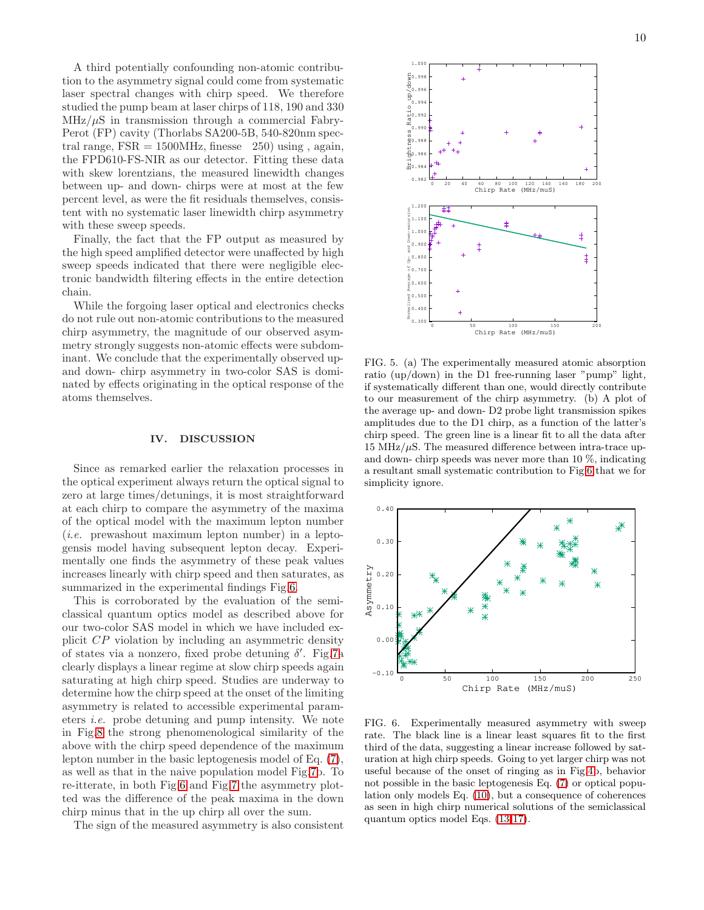A third potentially confounding non-atomic contribution to the asymmetry signal could come from systematic laser spectral changes with chirp speed. We therefore studied the pump beam at laser chirps of 118, 190 and 330  $MHz/\mu S$  in transmission through a commercial Fabry-Perot (FP) cavity (Thorlabs SA200-5B, 540-820nm spectral range,  $FSR = 1500MHz$ , finesse 250) using, again, the FPD610-FS-NIR as our detector. Fitting these data with skew lorentzians, the measured linewidth changes between up- and down- chirps were at most at the few percent level, as were the fit residuals themselves, consistent with no systematic laser linewidth chirp asymmetry with these sweep speeds.

Finally, the fact that the FP output as measured by the high speed amplified detector were unaffected by high sweep speeds indicated that there were negligible electronic bandwidth filtering effects in the entire detection chain.

While the forgoing laser optical and electronics checks do not rule out non-atomic contributions to the measured chirp asymmetry, the magnitude of our observed asymmetry strongly suggests non-atomic effects were subdominant. We conclude that the experimentally observed upand down- chirp asymmetry in two-color SAS is dominated by effects originating in the optical response of the atoms themselves.

#### IV. DISCUSSION

Since as remarked earlier the relaxation processes in the optical experiment always return the optical signal to zero at large times/detunings, it is most straightforward at each chirp to compare the asymmetry of the maxima of the optical model with the maximum lepton number (i.e. prewashout maximum lepton number) in a leptogensis model having subsequent lepton decay. Experimentally one finds the asymmetry of these peak values increases linearly with chirp speed and then saturates, as summarized in the experimental findings Fig[.6.](#page-9-0)

This is corroborated by the evaluation of the semiclassical quantum optics model as described above for our two-color SAS model in which we have included explicit CP violation by including an asymmetric density of states via a nonzero, fixed probe detuning  $\delta'$ . Fig[.7a](#page-10-0) clearly displays a linear regime at slow chirp speeds again saturating at high chirp speed. Studies are underway to determine how the chirp speed at the onset of the limiting asymmetry is related to accessible experimental parameters i.e. probe detuning and pump intensity. We note in Fig[.8](#page-11-20) the strong phenomenological similarity of the above with the chirp speed dependence of the maximum lepton number in the basic leptogenesis model of Eq. [\(7\)](#page-4-1), as well as that in the naive population model Fig[.7b](#page-10-0). To re-itterate, in both Fig[.6](#page-9-0) and Fig[.7](#page-10-0) the asymmetry plotted was the difference of the peak maxima in the down chirp minus that in the up chirp all over the sum.

The sign of the measured asymmetry is also consistent



<span id="page-9-1"></span>FIG. 5. (a) The experimentally measured atomic absorption ratio (up/down) in the D1 free-running laser "pump" light, if systematically different than one, would directly contribute to our measurement of the chirp asymmetry. (b) A plot of the average up- and down- D2 probe light transmission spikes amplitudes due to the D1 chirp, as a function of the latter's chirp speed. The green line is a linear fit to all the data after 15 MHz/ $\mu$ S. The measured difference between intra-trace upand down- chirp speeds was never more than 10 %, indicating a resultant small systematic contribution to Fig[.6](#page-9-0) that we for simplicity ignore.



<span id="page-9-0"></span>FIG. 6. Experimentally measured asymmetry with sweep rate. The black line is a linear least squares fit to the first third of the data, suggesting a linear increase followed by saturation at high chirp speeds. Going to yet larger chirp was not useful because of the onset of ringing as in Fig[.4b](#page-8-0), behavior not possible in the basic leptogenesis Eq. [\(7\)](#page-4-1) or optical population only models Eq. [\(10\)](#page-5-0), but a consequence of coherences as seen in high chirp numerical solutions of the semiclassical quantum optics model Eqs. [\(13](#page-6-0)[-17\)](#page-6-3).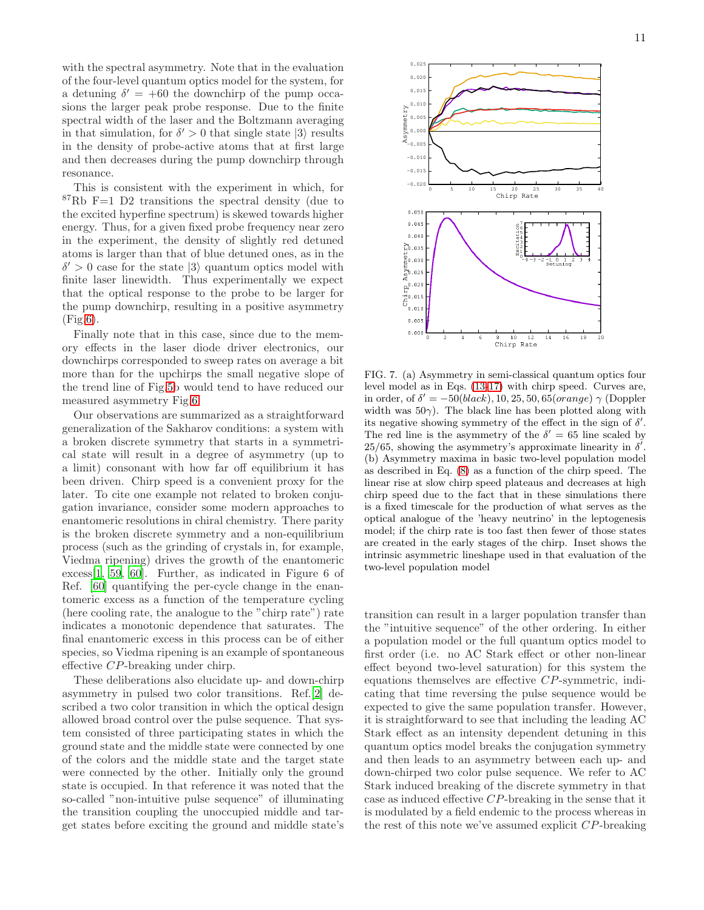with the spectral asymmetry. Note that in the evaluation of the four-level quantum optics model for the system, for a detuning  $\delta' = +60$  the downchirp of the pump occasions the larger peak probe response. Due to the finite spectral width of the laser and the Boltzmann averaging in that simulation, for  $\delta' > 0$  that single state  $|3\rangle$  results in the density of probe-active atoms that at first large and then decreases during the pump downchirp through resonance.

This is consistent with the experiment in which, for  $87Rb$  F=1 D2 transitions the spectral density (due to the excited hyperfine spectrum) is skewed towards higher energy. Thus, for a given fixed probe frequency near zero in the experiment, the density of slightly red detuned atoms is larger than that of blue detuned ones, as in the  $\delta' > 0$  case for the state  $|3\rangle$  quantum optics model with finite laser linewidth. Thus experimentally we expect that the optical response to the probe to be larger for the pump downchirp, resulting in a positive asymmetry (Fig[.6\)](#page-9-0).

Finally note that in this case, since due to the memory effects in the laser diode driver electronics, our downchirps corresponded to sweep rates on average a bit more than for the upchirps the small negative slope of the trend line of Fig[.5b](#page-9-1) would tend to have reduced our measured asymmetry Fig[.6.](#page-9-0)

Our observations are summarized as a straightforward generalization of the Sakharov conditions: a system with a broken discrete symmetry that starts in a symmetrical state will result in a degree of asymmetry (up to a limit) consonant with how far off equilibrium it has been driven. Chirp speed is a convenient proxy for the later. To cite one example not related to broken conjugation invariance, consider some modern approaches to enantomeric resolutions in chiral chemistry. There parity is the broken discrete symmetry and a non-equilibrium process (such as the grinding of crystals in, for example, Viedma ripening) drives the growth of the enantomeric excess[\[1](#page-11-0), [59,](#page-12-36) [60\]](#page-12-37). Further, as indicated in Figure 6 of Ref. [\[60\]](#page-12-37) quantifying the per-cycle change in the enantomeric excess as a function of the temperature cycling (here cooling rate, the analogue to the "chirp rate") rate indicates a monotonic dependence that saturates. The final enantomeric excess in this process can be of either species, so Viedma ripening is an example of spontaneous effective CP-breaking under chirp.

These deliberations also elucidate up- and down-chirp asymmetry in pulsed two color transitions. Ref.[\[2\]](#page-11-1) described a two color transition in which the optical design allowed broad control over the pulse sequence. That system consisted of three participating states in which the ground state and the middle state were connected by one of the colors and the middle state and the target state were connected by the other. Initially only the ground state is occupied. In that reference it was noted that the so-called "non-intuitive pulse sequence" of illuminating the transition coupling the unoccupied middle and target states before exciting the ground and middle state's



<span id="page-10-0"></span>FIG. 7. (a) Asymmetry in semi-classical quantum optics four level model as in Eqs. [\(13](#page-6-0)[-17\)](#page-6-3) with chirp speed. Curves are, in order, of  $\delta' = -50(black)$ , 10, 25, 50, 65(*orange*)  $\gamma$  (Doppler width was  $50\gamma$ ). The black line has been plotted along with its negative showing symmetry of the effect in the sign of  $\delta'$ . The red line is the asymmetry of the  $\delta' = 65$  line scaled by  $25/65$ , showing the asymmetry's approximate linearity in  $\delta'$ . (b) Asymmetry maxima in basic two-level population model as described in Eq. [\(8\)](#page-4-2) as a function of the chirp speed. The linear rise at slow chirp speed plateaus and decreases at high chirp speed due to the fact that in these simulations there is a fixed timescale for the production of what serves as the optical analogue of the 'heavy neutrino' in the leptogenesis model; if the chirp rate is too fast then fewer of those states are created in the early stages of the chirp. Inset shows the intrinsic asymmetric lineshape used in that evaluation of the two-level population model

transition can result in a larger population transfer than the "intuitive sequence" of the other ordering. In either a population model or the full quantum optics model to first order (i.e. no AC Stark effect or other non-linear effect beyond two-level saturation) for this system the equations themselves are effective CP-symmetric, indicating that time reversing the pulse sequence would be expected to give the same population transfer. However, it is straightforward to see that including the leading AC Stark effect as an intensity dependent detuning in this quantum optics model breaks the conjugation symmetry and then leads to an asymmetry between each up- and down-chirped two color pulse sequence. We refer to AC Stark induced breaking of the discrete symmetry in that case as induced effective CP-breaking in the sense that it is modulated by a field endemic to the process whereas in the rest of this note we've assumed explicit CP-breaking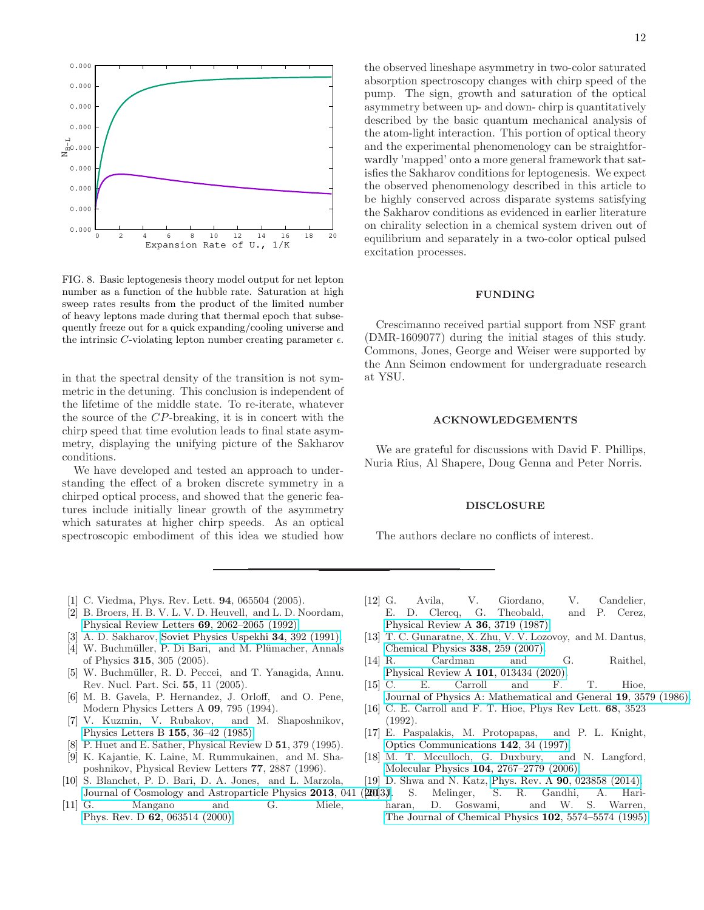

<span id="page-11-20"></span>FIG. 8. Basic leptogenesis theory model output for net lepton number as a function of the hubble rate. Saturation at high sweep rates results from the product of the limited number of heavy leptons made during that thermal epoch that subsequently freeze out for a quick expanding/cooling universe and the intrinsic C-violating lepton number creating parameter  $\epsilon$ .

in that the spectral density of the transition is not symmetric in the detuning. This conclusion is independent of the lifetime of the middle state. To re-iterate, whatever the source of the CP-breaking, it is in concert with the chirp speed that time evolution leads to final state asymmetry, displaying the unifying picture of the Sakharov conditions.

We have developed and tested an approach to understanding the effect of a broken discrete symmetry in a chirped optical process, and showed that the generic features include initially linear growth of the asymmetry which saturates at higher chirp speeds. As an optical spectroscopic embodiment of this idea we studied how

the observed lineshape asymmetry in two-color saturated absorption spectroscopy changes with chirp speed of the pump. The sign, growth and saturation of the optical asymmetry between up- and down- chirp is quantitatively described by the basic quantum mechanical analysis of the atom-light interaction. This portion of optical theory and the experimental phenomenology can be straightforwardly 'mapped' onto a more general framework that satisfies the Sakharov conditions for leptogenesis. We expect the observed phenomenology described in this article to be highly conserved across disparate systems satisfying the Sakharov conditions as evidenced in earlier literature on chirality selection in a chemical system driven out of equilibrium and separately in a two-color optical pulsed excitation processes.

#### FUNDING

Crescimanno received partial support from NSF grant (DMR-1609077) during the initial stages of this study. Commons, Jones, George and Weiser were supported by the Ann Seimon endowment for undergraduate research at YSU.

#### ACKNOWLEDGEMENTS

We are grateful for discussions with David F. Phillips, Nuria Rius, Al Shapere, Doug Genna and Peter Norris.

#### DISCLOSURE

The authors declare no conflicts of interest.

- <span id="page-11-0"></span>[1] C. Viedma, Phys. Rev. Lett. **94**, 065504 (2005).
- <span id="page-11-1"></span>[2] B. Broers, H. B. V. L. V. D. Heuvell, and L. D. Noordam, [Physical Review Letters](http://dx.doi.org/10.1103/physrevlett.69.2062) 69, 2062–2065 (1992).
- <span id="page-11-2"></span>[3] A. D. Sakharov, [Soviet Physics Uspekhi](http://dx.doi.org/10.1070/pu1991v034n05abeh002497) 34, 392 (1991).
- <span id="page-11-3"></span>[4] W. Buchmüller, P. Di Bari, and M. Plümacher, Annals of Physics 315, 305 (2005).
- <span id="page-11-4"></span>[5] W. Buchmüller, R. D. Peccei, and T. Yanagida, Annu. Rev. Nucl. Part. Sci. 55, 11 (2005).
- <span id="page-11-5"></span>[6] M. B. Gavela, P. Hernandez, J. Orloff, and O. Pene, Modern Physics Letters A 09, 795 (1994).
- <span id="page-11-6"></span>[7] V. Kuzmin, V. Rubakov, and M. Shaposhnikov, [Physics Letters B](http://dx.doi.org/10.1016/0370-2693(85)91028-7) 155, 36–42 (1985).
- <span id="page-11-7"></span>[8] P. Huet and E. Sather, Physical Review D 51, 379 (1995).
- <span id="page-11-8"></span>[9] K. Kajantie, K. Laine, M. Rummukainen, and M. Shaposhnikov, Physical Review Letters 77, 2887 (1996).
- <span id="page-11-9"></span>[10] S. Blanchet, P. D. Bari, D. A. Jones, and L. Marzola, [Journal of Cosmology and Astroparticle Physics](http://dx.doi.org/10.1088/1475-7516/2013/01/041) 2013, 041 (200 3).
- <span id="page-11-10"></span>[11] G. Mangano and G. Miele, Phys. Rev. D 62[, 063514 \(2000\).](http://dx.doi.org/10.1103/PhysRevD.62.063514)
- <span id="page-11-11"></span>[12] G. Avila, V. Giordano, V. Candelier, E. D. Clercq, G. Theobald, and P. Cerez, [Physical Review A](http://dx.doi.org/ 10.1103/physreva.36.3719) 36, 3719 (1987).
- <span id="page-11-12"></span>[13] T. C. Gunaratne, X. Zhu, V. V. Lozovoy, and M. Dantus, [Chemical Physics](http://dx.doi.org/10.1016/j.chemphys.2007.04.027) 338, 259 (2007).
- <span id="page-11-13"></span>[14] R. Cardman and G. Raithel, [Physical Review A](http://dx.doi.org/10.1103/physreva.101.013434) 101, 013434 (2020).
- <span id="page-11-14"></span>[15] C. E. Carroll and F. T. Hioe, [Journal of Physics A: Mathematical and General](http://dx.doi.org/10.1088/0305-4470/19/17/022) 19, 3579 (1986).
- <span id="page-11-15"></span>[16] C. E. Carroll and F. T. Hioe, Phys Rev Lett. 68, 3523 (1992).
- <span id="page-11-16"></span>[17] E. Paspalakis, M. Protopapas, and P. L. Knight, [Optics Communications](http://dx.doi.org/https://doi.org/10.1016/S0030-4018(97)00254-X) 142, 34 (1997).
- <span id="page-11-17"></span>[18] M. T. Mcculloch, G. Duxbury, and N. Langford, Molecular Physics 104[, 2767–2779 \(2006\).](http://dx.doi.org/10.1080/00268970600857651)
- <span id="page-11-18"></span>[19] D. Shwa and N. Katz, Phys. Rev. A 90[, 023858 \(2014\).](http://dx.doi.org/10.1103/PhysRevA.90.023858)
- <span id="page-11-19"></span>S. Melinger, S. R. Gandhi, A. Hariharan, D. Goswami, and W. S. Warren, [The Journal of Chemical Physics](http://dx.doi.org/10.1063/1.469288) 102, 5574–5574 (1995).